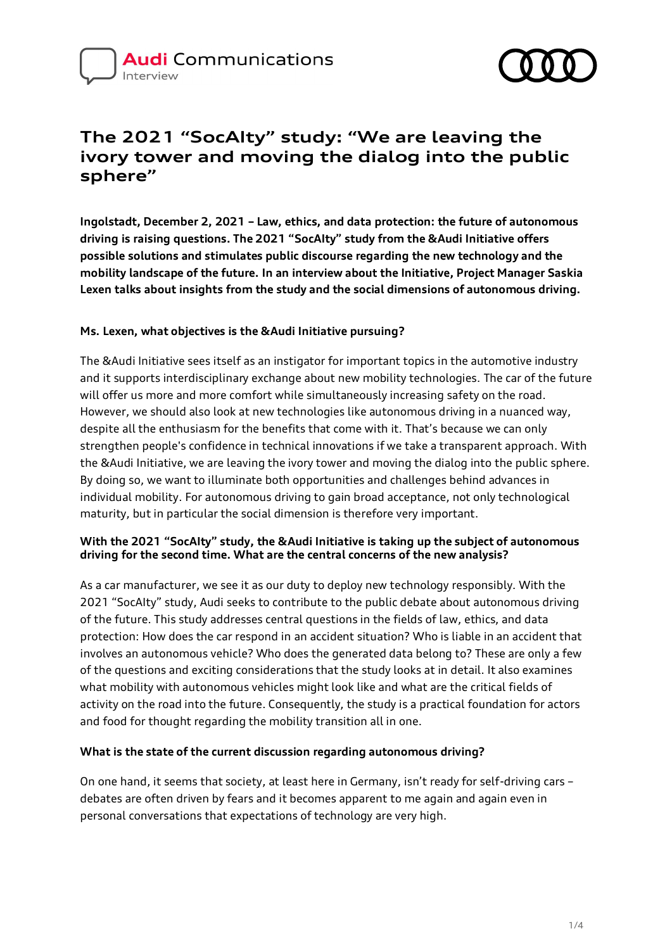# **Audi** Communications



# **The 2021 "SocAIty" study: "We are leaving the ivory tower and moving the dialog into the public sphere"**

**Ingolstadt, December 2, 2021 – Law, ethics, and data protection: the future of autonomous driving is raising questions. The 2021 "SocAIty" study from the &Audi Initiative offers possible solutions and stimulates public discourse regarding the new technology and the mobility landscape of the future. In an interview about the Initiative, Project Manager Saskia Lexen talks about insights from the study and the social dimensions of autonomous driving.**

# **Ms. Lexen, what objectives is the &Audi Initiative pursuing?**

The &Audi Initiative sees itself as an instigator for important topics in the automotive industry and it supports interdisciplinary exchange about new mobility technologies. The car of the future will offer us more and more comfort while simultaneously increasing safety on the road. However, we should also look at new technologies like autonomous driving in a nuanced way, despite all the enthusiasm for the benefits that come with it. That's because we can only strengthen people's confidence in technical innovations if we take a transparent approach. With the &Audi Initiative, we are leaving the ivory tower and moving the dialog into the public sphere. By doing so, we want to illuminate both opportunities and challenges behind advances in individual mobility. For autonomous driving to gain broad acceptance, not only technological maturity, but in particular the social dimension is therefore very important.

# **With the 2021 "SocAIty" study, the &Audi Initiative is taking up the subject of autonomous driving for the second time. What are the central concerns of the new analysis?**

As a car manufacturer, we see it as our duty to deploy new technology responsibly. With the 2021 "SocAIty" study, Audi seeks to contribute to the public debate about autonomous driving of the future. This study addresses central questions in the fields of law, ethics, and data protection: How does the car respond in an accident situation? Who is liable in an accident that involves an autonomous vehicle? Who does the generated data belong to? These are only a few of the questions and exciting considerations that the study looks at in detail. It also examines what mobility with autonomous vehicles might look like and what are the critical fields of activity on the road into the future. Consequently, the study is a practical foundation for actors and food for thought regarding the mobility transition all in one.

# **What is the state of the current discussion regarding autonomous driving?**

On one hand, it seems that society, at least here in Germany, isn't ready for self-driving cars – debates are often driven by fears and it becomes apparent to me again and again even in personal conversations that expectations of technology are very high.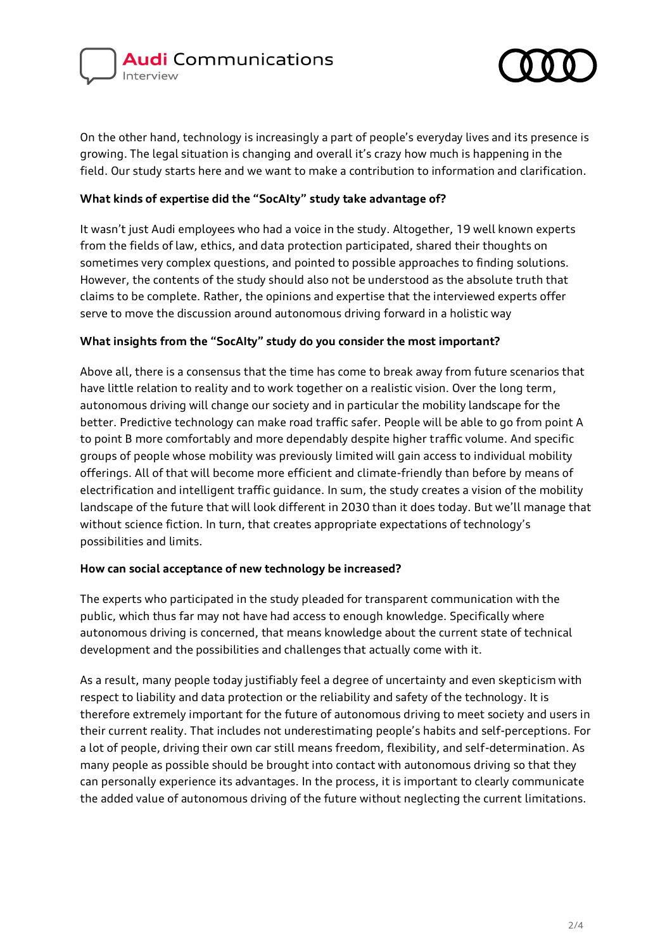



On the other hand, technology is increasingly a part of people's everyday lives and its presence is growing. The legal situation is changing and overall it's crazy how much is happening in the field. Our study starts here and we want to make a contribution to information and clarification.

# **What kinds of expertise did the "SocAIty" study take advantage of?**

It wasn't just Audi employees who had a voice in the study. Altogether, 19 well known experts from the fields of law, ethics, and data protection participated, shared their thoughts on sometimes very complex questions, and pointed to possible approaches to finding solutions. However, the contents of the study should also not be understood as the absolute truth that claims to be complete. Rather, the opinions and expertise that the interviewed experts offer serve to move the discussion around autonomous driving forward in a holistic way

#### **What insights from the "SocAIty" study do you consider the most important?**

Above all, there is a consensus that the time has come to break away from future scenarios that have little relation to reality and to work together on a realistic vision. Over the long term, autonomous driving will change our society and in particular the mobility landscape for the better. Predictive technology can make road traffic safer. People will be able to go from point A to point B more comfortably and more dependably despite higher traffic volume. And specific groups of people whose mobility was previously limited will gain access to individual mobility offerings. All of that will become more efficient and climate-friendly than before by means of electrification and intelligent traffic guidance. In sum, the study creates a vision of the mobility landscape of the future that will look different in 2030 than it does today. But we'll manage that without science fiction. In turn, that creates appropriate expectations of technology's possibilities and limits.

#### **How can social acceptance of new technology be increased?**

The experts who participated in the study pleaded for transparent communication with the public, which thus far may not have had access to enough knowledge. Specifically where autonomous driving is concerned, that means knowledge about the current state of technical development and the possibilities and challenges that actually come with it.

As a result, many people today justifiably feel a degree of uncertainty and even skepticism with respect to liability and data protection or the reliability and safety of the technology. It is therefore extremely important for the future of autonomous driving to meet society and users in their current reality. That includes not underestimating people's habits and self-perceptions. For a lot of people, driving their own car still means freedom, flexibility, and self-determination. As many people as possible should be brought into contact with autonomous driving so that they can personally experience its advantages. In the process, it is important to clearly communicate the added value of autonomous driving of the future without neglecting the current limitations.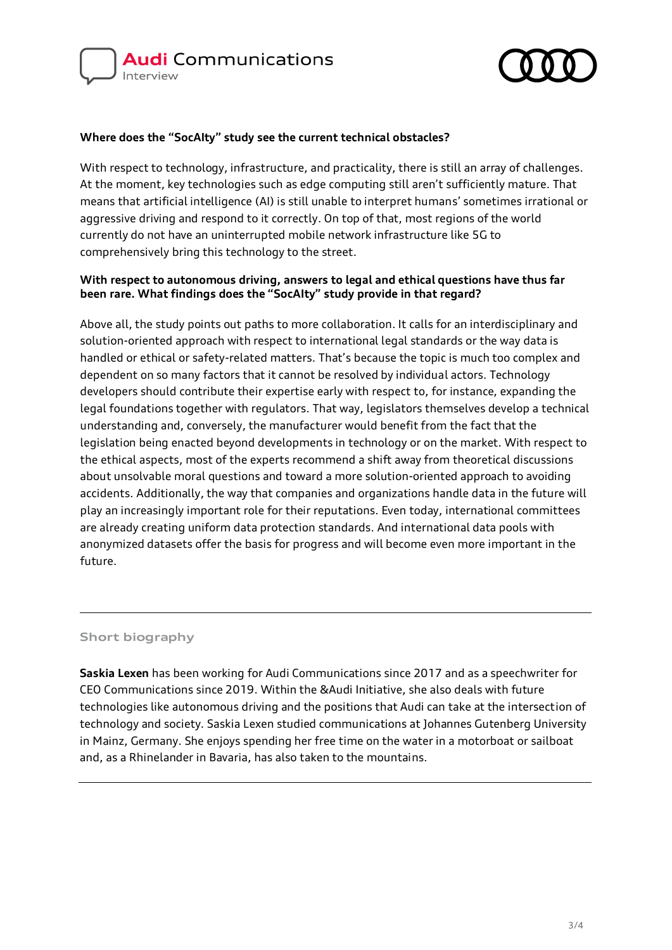



#### **Where does the "SocAIty" study see the current technical obstacles?**

With respect to technology, infrastructure, and practicality, there is still an array of challenges. At the moment, key technologies such as edge computing still aren't sufficiently mature. That means that artificial intelligence (AI) is still unable to interpret humans' sometimes irrational or aggressive driving and respond to it correctly. On top of that, most regions of the world currently do not have an uninterrupted mobile network infrastructure like 5G to comprehensively bring this technology to the street.

#### **With respect to autonomous driving, answers to legal and ethical questions have thus far been rare. What findings does the "SocAIty" study provide in that regard?**

Above all, the study points out paths to more collaboration. It calls for an interdisciplinary and solution-oriented approach with respect to international legal standards or the way data is handled or ethical or safety-related matters. That's because the topic is much too complex and dependent on so many factors that it cannot be resolved by individual actors. Technology developers should contribute their expertise early with respect to, for instance, expanding the legal foundations together with regulators. That way, legislators themselves develop a technical understanding and, conversely, the manufacturer would benefit from the fact that the legislation being enacted beyond developments in technology or on the market. With respect to the ethical aspects, most of the experts recommend a shift away from theoretical discussions about unsolvable moral questions and toward a more solution-oriented approach to avoiding accidents. Additionally, the way that companies and organizations handle data in the future will play an increasingly important role for their reputations. Even today, international committees are already creating uniform data protection standards. And international data pools with anonymized datasets offer the basis for progress and will become even more important in the future.

# **Short biography**

**Saskia Lexen** has been working for Audi Communications since 2017 and as a speechwriter for CEO Communications since 2019. Within the &Audi Initiative, she also deals with future technologies like autonomous driving and the positions that Audi can take at the intersection of technology and society. Saskia Lexen studied communications at Johannes Gutenberg University in Mainz, Germany. She enjoys spending her free time on the water in a motorboat or sailboat and, as a Rhinelander in Bavaria, has also taken to the mountains.